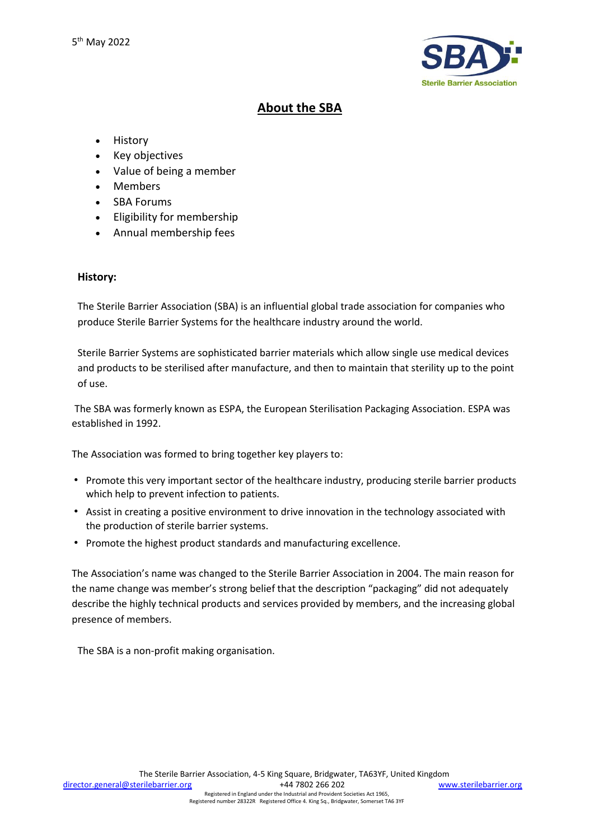

# **About the SBA**

- **History**
- Key objectives
- Value of being a member
- **Members**
- **SBA Forums**
- Eligibility for membership
- Annual membership fees

# **History:**

The Sterile Barrier Association (SBA) is an influential global trade association for companies who produce Sterile Barrier Systems for the healthcare industry around the world.

Sterile Barrier Systems are sophisticated barrier materials which allow single use medical devices and products to be sterilised after manufacture, and then to maintain that sterility up to the point of use.

The SBA was formerly known as ESPA, the European Sterilisation Packaging Association. ESPA was established in 1992.

The Association was formed to bring together key players to:

- Promote this very important sector of the healthcare industry, producing sterile barrier products which help to prevent infection to patients.
- Assist in creating a positive environment to drive innovation in the technology associated with the production of sterile barrier systems.
- Promote the highest product standards and manufacturing excellence.

The Association's name was changed to the Sterile Barrier Association in 2004. The main reason for the name change was member's strong belief that the description "packaging" did not adequately describe the highly technical products and services provided by members, and the increasing global presence of members.

The SBA is a non-profit making organisation.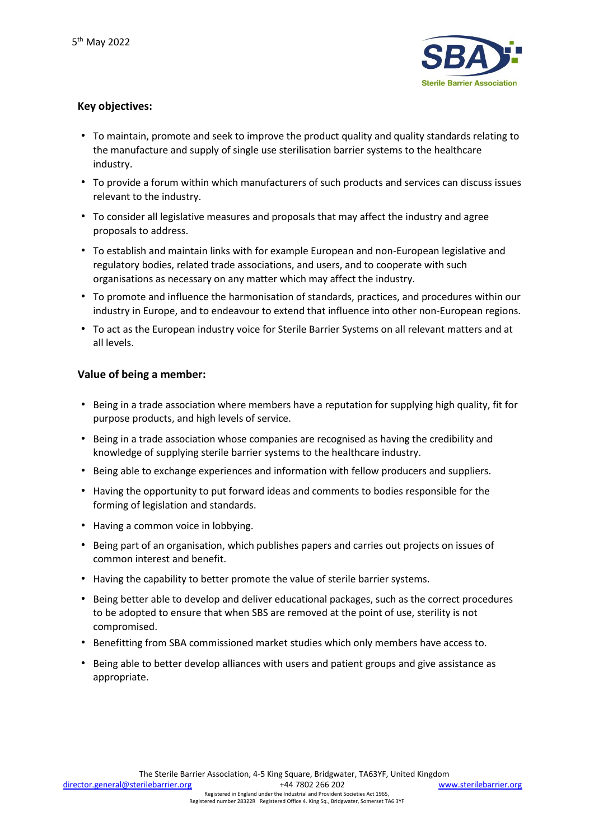

# **Key objectives:**

- To maintain, promote and seek to improve the product quality and quality standards relating to the manufacture and supply of single use sterilisation barrier systems to the healthcare industry.
- To provide a forum within which manufacturers of such products and services can discuss issues relevant to the industry.
- To consider all legislative measures and proposals that may affect the industry and agree proposals to address.
- To establish and maintain links with for example European and non-European legislative and regulatory bodies, related trade associations, and users, and to cooperate with such organisations as necessary on any matter which may affect the industry.
- To promote and influence the harmonisation of standards, practices, and procedures within our industry in Europe, and to endeavour to extend that influence into other non-European regions.
- To act as the European industry voice for Sterile Barrier Systems on all relevant matters and at all levels.

## **Value of being a member:**

- Being in a trade association where members have a reputation for supplying high quality, fit for purpose products, and high levels of service.
- Being in a trade association whose companies are recognised as having the credibility and knowledge of supplying sterile barrier systems to the healthcare industry.
- Being able to exchange experiences and information with fellow producers and suppliers.
- Having the opportunity to put forward ideas and comments to bodies responsible for the forming of legislation and standards.
- Having a common voice in lobbying.
- Being part of an organisation, which publishes papers and carries out projects on issues of common interest and benefit.
- Having the capability to better promote the value of sterile barrier systems.
- Being better able to develop and deliver educational packages, such as the correct procedures to be adopted to ensure that when SBS are removed at the point of use, sterility is not compromised.
- Benefitting from SBA commissioned market studies which only members have access to.
- Being able to better develop alliances with users and patient groups and give assistance as appropriate.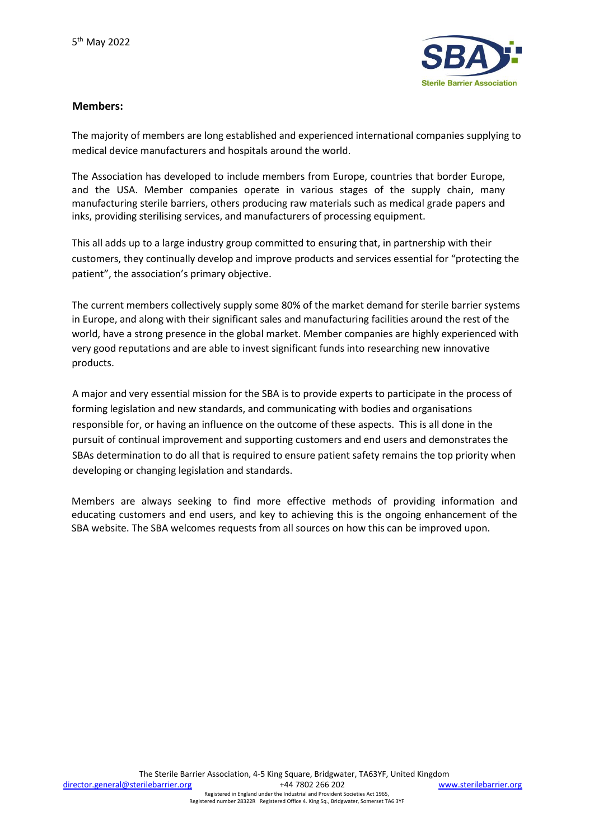

## **Members:**

The majority of members are long established and experienced international companies supplying to medical device manufacturers and hospitals around the world.

The Association has developed to include members from Europe, countries that border Europe, and the USA. Member companies operate in various stages of the supply chain, many manufacturing sterile barriers, others producing raw materials such as medical grade papers and inks, providing sterilising services, and manufacturers of processing equipment.

This all adds up to a large industry group committed to ensuring that, in partnership with their customers, they continually develop and improve products and services essential for "protecting the patient", the association's primary objective.

The current members collectively supply some 80% of the market demand for sterile barrier systems in Europe, and along with their significant sales and manufacturing facilities around the rest of the world, have a strong presence in the global market. Member companies are highly experienced with very good reputations and are able to invest significant funds into researching new innovative products.

A major and very essential mission for the SBA is to provide experts to participate in the process of forming legislation and new standards, and communicating with bodies and organisations responsible for, or having an influence on the outcome of these aspects. This is all done in the pursuit of continual improvement and supporting customers and end users and demonstrates the SBAs determination to do all that is required to ensure patient safety remains the top priority when developing or changing legislation and standards.

Members are always seeking to find more effective methods of providing information and educating customers and end users, and key to achieving this is the ongoing enhancement of the SBA website. The SBA welcomes requests from all sources on how this can be improved upon.